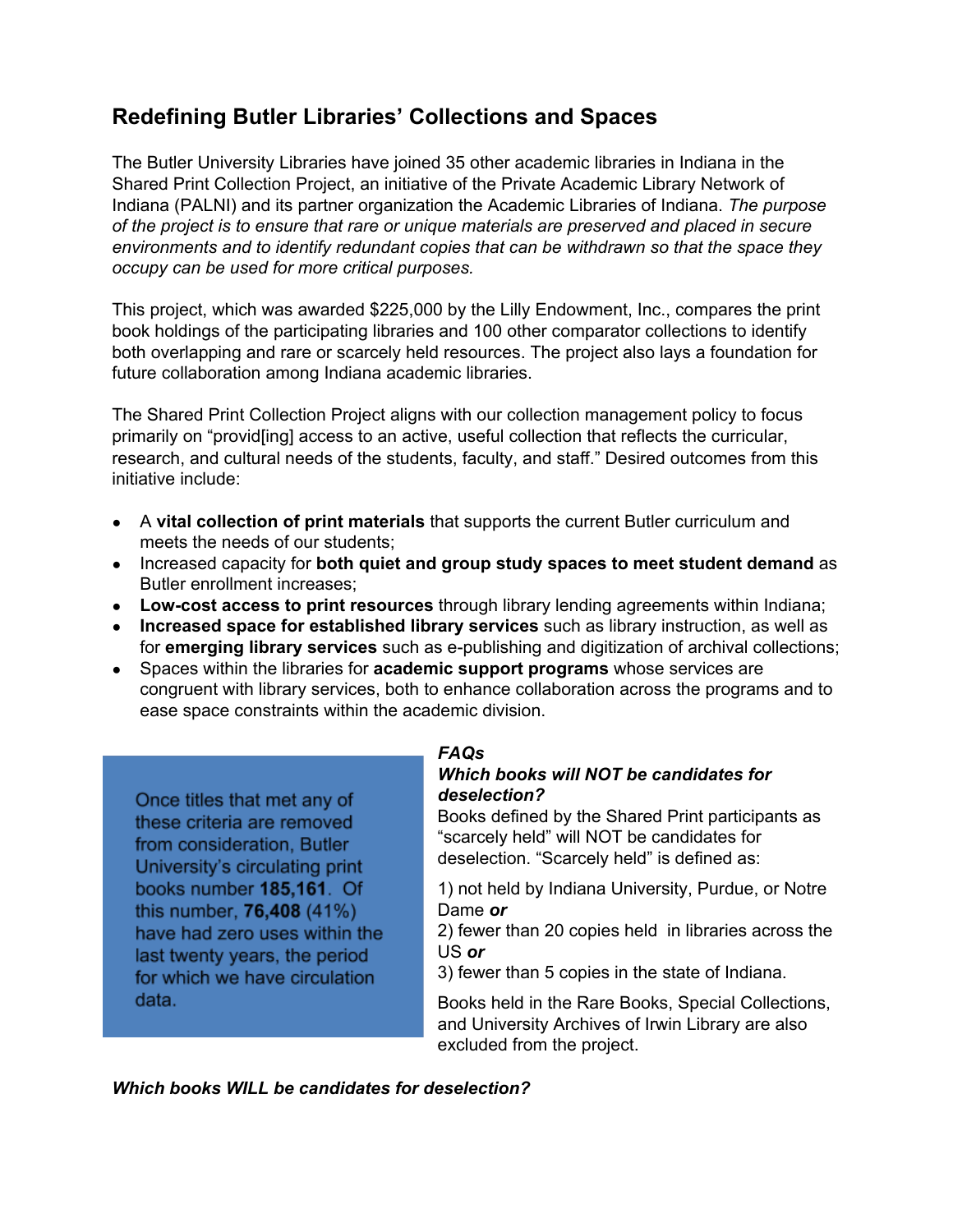# **Redefining Butler Libraries' Collections and Spaces**

The Butler University Libraries have joined 35 other academic libraries in Indiana in the Shared Print Collection Project, an initiative of the Private Academic Library Network of Indiana (PALNI) and its partner organization the Academic Libraries of Indiana. *The purpose of the project is to ensure that rare or unique materials are preserved and placed in secure environments and to identify redundant copies that can be withdrawn so that the space they occupy can be used for more critical purposes.*

This project, which was awarded \$225,000 by the Lilly Endowment, Inc., compares the print book holdings of the participating libraries and 100 other comparator collections to identify both overlapping and rare or scarcely held resources. The project also lays a foundation for future collaboration among Indiana academic libraries.

The Shared Print Collection Project aligns with our collection management policy to focus primarily on "provid[ing] access to an active, useful collection that reflects the curricular, research, and cultural needs of the students, faculty, and staff." Desired outcomes from this initiative include:

- A **vital collection of print materials** that supports the current Butler curriculum and meets the needs of our students;
- Increased capacity for **both quiet and group study spaces to meet student demand** as Butler enrollment increases;
- **Lowcost access to print resources** through library lending agreements within Indiana;
- **Increased space for established library services** such as library instruction, as well as for **emerging library services** such as e-publishing and digitization of archival collections;
- Spaces within the libraries for **academic support programs** whose services are congruent with library services, both to enhance collaboration across the programs and to ease space constraints within the academic division.

Once titles that met any of these criteria are removed from consideration, Butler University's circulating print books number 185,161. Of this number, 76,408 (41%) have had zero uses within the last twenty years, the period for which we have circulation data.

# *FAQs*

## *Which books will NOT be candidates for deselection?*

Books defined by the Shared Print participants as "scarcely held" will NOT be candidates for deselection. "Scarcely held" is defined as:

1) not held by Indiana University, Purdue, or Notre Dame *or*

2) fewer than 20 copies held in libraries across the US *or*

3) fewer than 5 copies in the state of Indiana.

Books held in the Rare Books, Special Collections, and University Archives of Irwin Library are also excluded from the project.

*Which books WILL be candidates for deselection?*